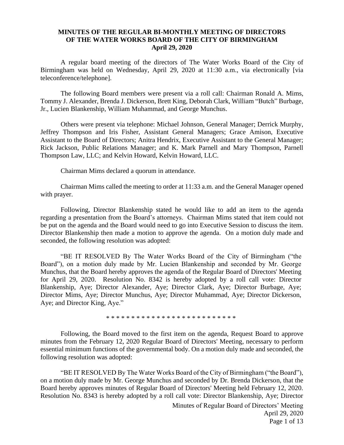## **MINUTES OF THE REGULAR BI-MONTHLY MEETING OF DIRECTORS OF THE WATER WORKS BOARD OF THE CITY OF BIRMINGHAM April 29, 2020**

A regular board meeting of the directors of The Water Works Board of the City of Birmingham was held on Wednesday, April 29, 2020 at 11:30 a.m., via electronically [via teleconference/telephone].

The following Board members were present via a roll call: Chairman Ronald A. Mims, Tommy J. Alexander, Brenda J. Dickerson, Brett King, Deborah Clark, William "Butch" Burbage, Jr., Lucien Blankenship, William Muhammad, and George Munchus.

Others were present via telephone: Michael Johnson, General Manager; Derrick Murphy, Jeffrey Thompson and Iris Fisher, Assistant General Managers; Grace Amison, Executive Assistant to the Board of Directors; Anitra Hendrix, Executive Assistant to the General Manager; Rick Jackson, Public Relations Manager; and K. Mark Parnell and Mary Thompson, Parnell Thompson Law, LLC; and Kelvin Howard, Kelvin Howard, LLC.

Chairman Mims declared a quorum in attendance.

Chairman Mims called the meeting to order at 11:33 a.m. and the General Manager opened with prayer.

Following, Director Blankenship stated he would like to add an item to the agenda regarding a presentation from the Board's attorneys. Chairman Mims stated that item could not be put on the agenda and the Board would need to go into Executive Session to discuss the item. Director Blankenship then made a motion to approve the agenda. On a motion duly made and seconded, the following resolution was adopted:

"BE IT RESOLVED By The Water Works Board of the City of Birmingham ("the Board"), on a motion duly made by Mr. Lucien Blankenship and seconded by Mr. George Munchus, that the Board hereby approves the agenda of the Regular Board of Directors' Meeting for April 29, 2020. Resolution No. 8342 is hereby adopted by a roll call vote: Director Blankenship, Aye; Director Alexander, Aye; Director Clark, Aye; Director Burbage, Aye; Director Mims, Aye; Director Munchus, Aye; Director Muhammad, Aye; Director Dickerson, Aye; and Director King, Aye."

\* \* \* \* \* \* \* \* \* \* \* \* \* \* \* \* \* \* \* \* \* \* \* \* \* \*

Following, the Board moved to the first item on the agenda, Request Board to approve minutes from the February 12, 2020 Regular Board of Directors' Meeting, necessary to perform essential minimum functions of the governmental body. On a motion duly made and seconded, the following resolution was adopted:

"BE IT RESOLVED By The Water Works Board of the City of Birmingham ("the Board"), on a motion duly made by Mr. George Munchus and seconded by Dr. Brenda Dickerson, that the Board hereby approves minutes of Regular Board of Directors' Meeting held February 12, 2020. Resolution No. 8343 is hereby adopted by a roll call vote: Director Blankenship, Aye; Director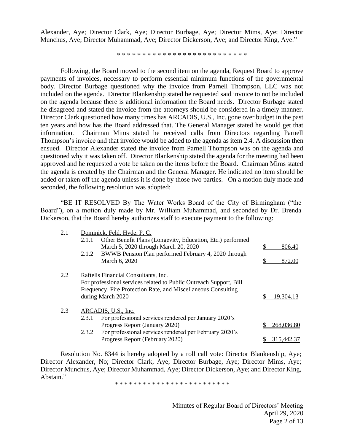Alexander, Aye; Director Clark, Aye; Director Burbage, Aye; Director Mims, Aye; Director Munchus, Aye; Director Muhammad, Aye; Director Dickerson, Aye; and Director King, Aye."

\* \* \* \* \* \* \* \* \* \* \* \* \* \* \* \* \* \* \* \* \* \* \* \* \* \*

Following, the Board moved to the second item on the agenda, Request Board to approve payments of invoices, necessary to perform essential minimum functions of the governmental body. Director Burbage questioned why the invoice from Parnell Thompson, LLC was not included on the agenda. Director Blankenship stated he requested said invoice to not be included on the agenda because there is additional information the Board needs. Director Burbage stated he disagreed and stated the invoice from the attorneys should be considered in a timely manner. Director Clark questioned how many times has ARCADIS, U.S., Inc. gone over budget in the past ten years and how has the Board addressed that. The General Manager stated he would get that information. Chairman Mims stated he received calls from Directors regarding Parnell Thompson's invoice and that invoice would be added to the agenda as item 2.4. A discussion then ensued. Director Alexander stated the invoice from Parnell Thompson was on the agenda and questioned why it was taken off. Director Blankenship stated the agenda for the meeting had been approved and he requested a vote be taken on the items before the Board. Chairman Mims stated the agenda is created by the Chairman and the General Manager. He indicated no item should be added or taken off the agenda unless it is done by those two parties. On a motion duly made and seconded, the following resolution was adopted:

"BE IT RESOLVED By The Water Works Board of the City of Birmingham ("the Board"), on a motion duly made by Mr. William Muhammad, and seconded by Dr. Brenda Dickerson, that the Board hereby authorizes staff to execute payment to the following:

| 2.1 | Dominick, Feld, Hyde, P. C.                                   |                                                                    |  |            |
|-----|---------------------------------------------------------------|--------------------------------------------------------------------|--|------------|
|     | 2.1.1                                                         | Other Benefit Plans (Longevity, Education, Etc.) performed         |  |            |
|     |                                                               | March 5, 2020 through March 20, 2020                               |  | 806.40     |
|     | 2.1.2                                                         | BWWB Pension Plan performed February 4, 2020 through               |  |            |
|     |                                                               | March 6, 2020                                                      |  | 872.00     |
| 2.2 | Raftelis Financial Consultants, Inc.                          |                                                                    |  |            |
|     |                                                               | For professional services related to Public Outreach Support, Bill |  |            |
|     | Frequency, Fire Protection Rate, and Miscellaneous Consulting |                                                                    |  |            |
|     | during March 2020                                             |                                                                    |  | 19,304.13  |
| 2.3 | ARCADIS, U.S., Inc.                                           |                                                                    |  |            |
|     | 2.3.1                                                         | For professional services rendered per January 2020's              |  |            |
|     |                                                               | Progress Report (January 2020)                                     |  | 268,036.80 |
|     | 2.3.2                                                         | For professional services rendered per February 2020's             |  |            |
|     |                                                               | Progress Report (February 2020)                                    |  | 315,442.37 |

Resolution No. 8344 is hereby adopted by a roll call vote: Director Blankenship, Aye; Director Alexander, No; Director Clark, Aye; Director Burbage, Aye; Director Mims, Aye; Director Munchus, Aye; Director Muhammad, Aye; Director Dickerson, Aye; and Director King, Abstain."

\* \* \* \* \* \* \* \* \* \* \* \* \* \* \* \* \* \* \* \* \* \* \* \* \*

Minutes of Regular Board of Directors' Meeting April 29, 2020 Page 2 of 13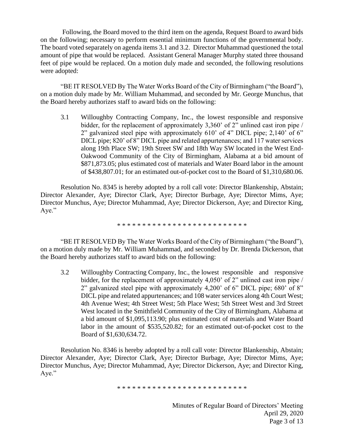Following, the Board moved to the third item on the agenda, Request Board to award bids on the following; necessary to perform essential minimum functions of the governmental body. The board voted separately on agenda items 3.1 and 3.2. Director Muhammad questioned the total amount of pipe that would be replaced. Assistant General Manager Murphy stated three thousand feet of pipe would be replaced. On a motion duly made and seconded, the following resolutions were adopted:

"BE IT RESOLVED By The Water Works Board of the City of Birmingham ("the Board"), on a motion duly made by Mr. William Muhammad, and seconded by Mr. George Munchus, that the Board hereby authorizes staff to award bids on the following:

3.1 Willoughby Contracting Company, Inc., the lowest responsible and responsive bidder, for the replacement of approximately 3,360' of 2" unlined cast iron pipe / 2" galvanized steel pipe with approximately 610' of 4" DICL pipe; 2,140' of 6" DICL pipe; 820' of 8" DICL pipe and related appurtenances; and 117 water services along 19th Place SW; 19th Street SW and 18th Way SW located in the West End-Oakwood Community of the City of Birmingham, Alabama at a bid amount of \$871,873.05; plus estimated cost of materials and Water Board labor in the amount of \$438,807.01; for an estimated out-of-pocket cost to the Board of \$1,310,680.06.

Resolution No. 8345 is hereby adopted by a roll call vote: Director Blankenship, Abstain; Director Alexander, Aye; Director Clark, Aye; Director Burbage, Aye; Director Mims, Aye; Director Munchus, Aye; Director Muhammad, Aye; Director Dickerson, Aye; and Director King, Aye."

\* \* \* \* \* \* \* \* \* \* \* \* \* \* \* \* \* \* \* \* \* \* \* \* \* \*

"BE IT RESOLVED By The Water Works Board of the City of Birmingham ("the Board"), on a motion duly made by Mr. William Muhammad, and seconded by Dr. Brenda Dickerson, that the Board hereby authorizes staff to award bids on the following:

3.2 Willoughby Contracting Company, Inc., the lowest responsible and responsive bidder, for the replacement of approximately 4,050' of 2" unlined cast iron pipe / 2" galvanized steel pipe with approximately 4,200' of 6" DICL pipe; 680' of 8" DICL pipe and related appurtenances; and 108 water services along 4th Court West; 4th Avenue West; 4th Street West; 5th Place West; 5th Street West and 3rd Street West located in the Smithfield Community of the City of Birmingham, Alabama at a bid amount of \$1,095,113.90; plus estimated cost of materials and Water Board labor in the amount of \$535,520.82; for an estimated out-of-pocket cost to the Board of \$1,630,634.72.

Resolution No. 8346 is hereby adopted by a roll call vote: Director Blankenship, Abstain; Director Alexander, Aye; Director Clark, Aye; Director Burbage, Aye; Director Mims, Aye; Director Munchus, Aye; Director Muhammad, Aye; Director Dickerson, Aye; and Director King, Aye."

\* \* \* \* \* \* \* \* \* \* \* \* \* \* \* \* \* \* \* \* \* \* \* \* \* \*

Minutes of Regular Board of Directors' Meeting April 29, 2020 Page 3 of 13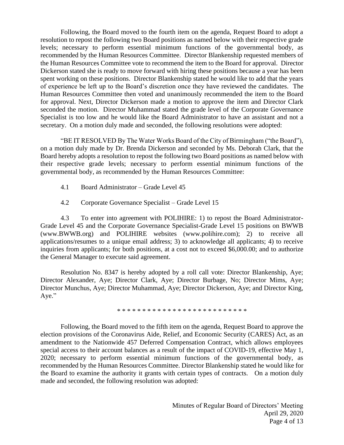Following, the Board moved to the fourth item on the agenda, Request Board to adopt a resolution to repost the following two Board positions as named below with their respective grade levels; necessary to perform essential minimum functions of the governmental body, as recommended by the Human Resources Committee. Director Blankenship requested members of the Human Resources Committee vote to recommend the item to the Board for approval. Director Dickerson stated she is ready to move forward with hiring these positions because a year has been spent working on these positions. Director Blankenship stated he would like to add that the years of experience be left up to the Board's discretion once they have reviewed the candidates. The Human Resources Committee then voted and unanimously recommended the item to the Board for approval. Next, Director Dickerson made a motion to approve the item and Director Clark seconded the motion. Director Muhammad stated the grade level of the Corporate Governance Specialist is too low and he would like the Board Administrator to have an assistant and not a secretary. On a motion duly made and seconded, the following resolutions were adopted:

"BE IT RESOLVED By The Water Works Board of the City of Birmingham ("the Board"), on a motion duly made by Dr. Brenda Dickerson and seconded by Ms. Deborah Clark, that the Board hereby adopts a resolution to repost the following two Board positions as named below with their respective grade levels; necessary to perform essential minimum functions of the governmental body, as recommended by the Human Resources Committee:

- 4.1 Board Administrator Grade Level 45
- 4.2 Corporate Governance Specialist Grade Level 15

4.3 To enter into agreement with POLIHIRE: 1) to repost the Board Administrator-Grade Level 45 and the Corporate Governance Specialist-Grade Level 15 positions on BWWB (www.BWWB.org) and POLIHIRE websites (www.polihire.com); 2) to receive all applications/resumes to a unique email address; 3) to acknowledge all applicants; 4) to receive inquiries from applicants; for both positions, at a cost not to exceed \$6,000.00; and to authorize the General Manager to execute said agreement.

Resolution No. 8347 is hereby adopted by a roll call vote: Director Blankenship, Aye; Director Alexander, Aye; Director Clark, Aye; Director Burbage, No; Director Mims, Aye; Director Munchus, Aye; Director Muhammad, Aye; Director Dickerson, Aye; and Director King, Aye."

\* \* \* \* \* \* \* \* \* \* \* \* \* \* \* \* \* \* \* \* \* \* \* \* \* \*

Following, the Board moved to the fifth item on the agenda, Request Board to approve the election provisions of the Coronavirus Aide, Relief, and Economic Security (CARES) Act, as an amendment to the Nationwide 457 Deferred Compensation Contract, which allows employees special access to their account balances as a result of the impact of COVID-19, effective May 1, 2020; necessary to perform essential minimum functions of the governmental body, as recommended by the Human Resources Committee. Director Blankenship stated he would like for the Board to examine the authority it grants with certain types of contracts. On a motion duly made and seconded, the following resolution was adopted: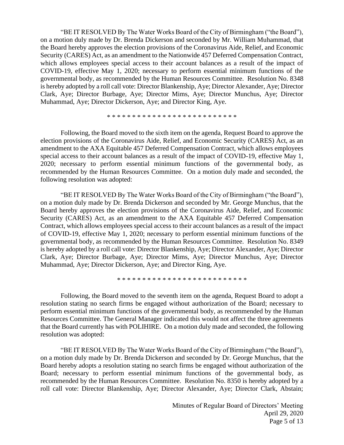"BE IT RESOLVED By The Water Works Board of the City of Birmingham ("the Board"), on a motion duly made by Dr. Brenda Dickerson and seconded by Mr. William Muhammad, that the Board hereby approves the election provisions of the Coronavirus Aide, Relief, and Economic Security (CARES) Act, as an amendment to the Nationwide 457 Deferred Compensation Contract, which allows employees special access to their account balances as a result of the impact of COVID-19, effective May 1, 2020; necessary to perform essential minimum functions of the governmental body, as recommended by the Human Resources Committee. Resolution No. 8348 is hereby adopted by a roll call vote: Director Blankenship, Aye; Director Alexander, Aye; Director Clark, Aye; Director Burbage, Aye; Director Mims, Aye; Director Munchus, Aye; Director Muhammad, Aye; Director Dickerson, Aye; and Director King, Aye.

## \* \* \* \* \* \* \* \* \* \* \* \* \* \* \* \* \* \* \* \* \* \* \* \* \* \*

Following, the Board moved to the sixth item on the agenda, Request Board to approve the election provisions of the Coronavirus Aide, Relief, and Economic Security (CARES) Act, as an amendment to the AXA Equitable 457 Deferred Compensation Contract, which allows employees special access to their account balances as a result of the impact of COVID-19, effective May 1, 2020; necessary to perform essential minimum functions of the governmental body, as recommended by the Human Resources Committee. On a motion duly made and seconded, the following resolution was adopted:

"BE IT RESOLVED By The Water Works Board of the City of Birmingham ("the Board"), on a motion duly made by Dr. Brenda Dickerson and seconded by Mr. George Munchus, that the Board hereby approves the election provisions of the Coronavirus Aide, Relief, and Economic Security (CARES) Act, as an amendment to the AXA Equitable 457 Deferred Compensation Contract, which allows employees special access to their account balances as a result of the impact of COVID-19, effective May 1, 2020; necessary to perform essential minimum functions of the governmental body, as recommended by the Human Resources Committee. Resolution No. 8349 is hereby adopted by a roll call vote: Director Blankenship, Aye; Director Alexander, Aye; Director Clark, Aye; Director Burbage, Aye; Director Mims, Aye; Director Munchus, Aye; Director Muhammad, Aye; Director Dickerson, Aye; and Director King, Aye.

\* \* \* \* \* \* \* \* \* \* \* \* \* \* \* \* \* \* \* \* \* \* \* \* \* \*

Following, the Board moved to the seventh item on the agenda, Request Board to adopt a resolution stating no search firms be engaged without authorization of the Board; necessary to perform essential minimum functions of the governmental body, as recommended by the Human Resources Committee. The General Manager indicated this would not affect the three agreements that the Board currently has with POLIHIRE. On a motion duly made and seconded, the following resolution was adopted:

"BE IT RESOLVED By The Water Works Board of the City of Birmingham ("the Board"), on a motion duly made by Dr. Brenda Dickerson and seconded by Dr. George Munchus, that the Board hereby adopts a resolution stating no search firms be engaged without authorization of the Board; necessary to perform essential minimum functions of the governmental body, as recommended by the Human Resources Committee. Resolution No. 8350 is hereby adopted by a roll call vote: Director Blankenship, Aye; Director Alexander, Aye; Director Clark, Abstain;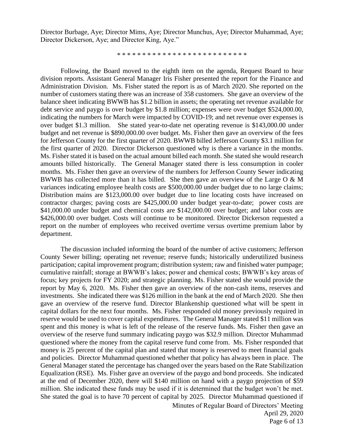Director Burbage, Aye; Director Mims, Aye; Director Munchus, Aye; Director Muhammad, Aye; Director Dickerson, Aye; and Director King, Aye."

\* \* \* \* \* \* \* \* \* \* \* \* \* \* \* \* \* \* \* \* \* \* \* \* \* \*

Following, the Board moved to the eighth item on the agenda, Request Board to hear division reports. Assistant General Manager Iris Fisher presented the report for the Finance and Administration Division. Ms. Fisher stated the report is as of March 2020. She reported on the number of customers stating there was an increase of 358 customers. She gave an overview of the balance sheet indicating BWWB has \$1.2 billion in assets; the operating net revenue available for debt service and paygo is over budget by \$1.8 million; expenses were over budget \$524,000.00, indicating the numbers for March were impacted by COVID-19; and net revenue over expenses is over budget \$1.3 million. She stated year-to-date net operating revenue is \$143,000.00 under budget and net revenue is \$890,000.00 over budget. Ms. Fisher then gave an overview of the fees for Jefferson County for the first quarter of 2020. BWWB billed Jefferson County \$3.1 million for the first quarter of 2020. Director Dickerson questioned why is there a variance in the months. Ms. Fisher stated it is based on the actual amount billed each month. She stated she would research amounts billed historically. The General Manager stated there is less consumption in cooler months. Ms. Fisher then gave an overview of the numbers for Jefferson County Sewer indicating BWWB has collected more than it has billed. She then gave an overview of the Large O & M variances indicating employee health costs are \$500,000.00 under budget due to no large claims; Distribution mains are \$123,000.00 over budget due to line locating costs have increased on contractor charges; paving costs are \$425,000.00 under budget year-to-date; power costs are \$41,000.00 under budget and chemical costs are \$142,000.00 over budget; and labor costs are \$426,000.00 over budget. Costs will continue to be monitored. Director Dickerson requested a report on the number of employees who received overtime versus overtime premium labor by department.

The discussion included informing the board of the number of active customers; Jefferson County Sewer billing; operating net revenue; reserve funds; historically underutilized business participation; capital improvement program; distribution system; raw and finished water pumpage; cumulative rainfall; storage at BWWB's lakes; power and chemical costs; BWWB's key areas of focus; key projects for FY 2020; and strategic planning. Ms. Fisher stated she would provide the report by May 6, 2020. Ms. Fisher then gave an overview of the non-cash items, reserves and investments. She indicated there was \$126 million in the bank at the end of March 2020. She then gave an overview of the reserve fund. Director Blankenship questioned what will be spent in capital dollars for the next four months. Ms. Fisher responded old money previously required in reserve would be used to cover capital expenditures. The General Manager stated \$11 million was spent and this money is what is left of the release of the reserve funds. Ms. Fisher then gave an overview of the reserve fund summary indicating paygo was \$32.9 million. Director Muhammad questioned where the money from the capital reserve fund come from. Ms. Fisher responded that money is 25 percent of the capital plan and stated that money is reserved to meet financial goals and policies. Director Muhammad questioned whether that policy has always been in place. The General Manager stated the percentage has changed over the years based on the Rate Stabilization Equalization (RSE). Ms. Fisher gave an overview of the paygo and bond proceeds. She indicated at the end of December 2020, there will \$140 million on hand with a paygo projection of \$59 million. She indicated these funds may be used if it is determined that the budget won't be met. She stated the goal is to have 70 percent of capital by 2025. Director Muhammad questioned if

> Minutes of Regular Board of Directors' Meeting April 29, 2020 Page 6 of 13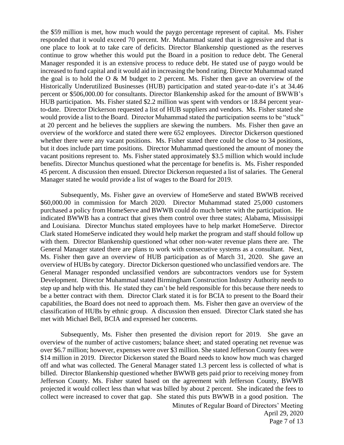the \$59 million is met, how much would the paygo percentage represent of capital. Ms. Fisher responded that it would exceed 70 percent. Mr. Muhammad stated that is aggressive and that is one place to look at to take care of deficits. Director Blankenship questioned as the reserves continue to grow whether this would put the Board in a position to reduce debt. The General Manager responded it is an extensive process to reduce debt. He stated use of paygo would be increased to fund capital and it would aid in increasing the bond rating. Director Muhammad stated the goal is to hold the  $O & M$  budget to 2 percent. Ms. Fisher then gave an overview of the Historically Underutilized Businesses (HUB) participation and stated year-to-date it's at 34.46 percent or \$506,000.00 for consultants. Director Blankenship asked for the amount of BWWB's HUB participation. Ms. Fisher stated \$2.2 million was spent with vendors or 18.84 percent yearto-date. Director Dickerson requested a list of HUB suppliers and vendors. Ms. Fisher stated she would provide a list to the Board. Director Muhammad stated the participation seems to be "stuck" at 20 percent and he believes the suppliers are skewing the numbers. Ms. Fisher then gave an overview of the workforce and stated there were 652 employees. Director Dickerson questioned whether there were any vacant positions. Ms. Fisher stated there could be close to 34 positions, but it does include part time positions. Director Muhammad questioned the amount of money the vacant positions represent to. Ms. Fisher stated approximately \$3.5 million which would include benefits. Director Munchus questioned what the percentage for benefits is. Ms. Fisher responded 45 percent. A discussion then ensued. Director Dickerson requested a list of salaries. The General Manager stated he would provide a list of wages to the Board for 2019.

Subsequently, Ms. Fisher gave an overview of HomeServe and stated BWWB received \$60,000.00 in commission for March 2020. Director Muhammad stated 25,000 customers purchased a policy from HomeServe and BWWB could do much better with the participation. He indicated BWWB has a contract that gives them control over three states; Alabama, Mississippi and Louisiana. Director Munchus stated employees have to help market HomeServe. Director Clark stated HomeServe indicated they would help market the program and staff should follow up with them. Director Blankenship questioned what other non-water revenue plans there are. The General Manager stated there are plans to work with consecutive systems as a consultant. Next, Ms. Fisher then gave an overview of HUB participation as of March 31, 2020. She gave an overview of HUBs by category. Director Dickerson questioned who unclassified vendors are. The General Manager responded unclassified vendors are subcontractors vendors use for System Development. Director Muhammad stated Birmingham Construction Industry Authority needs to step up and help with this. He stated they can't be held responsible for this because there needs to be a better contract with them. Director Clark stated it is for BCIA to present to the Board their capabilities, the Board does not need to approach them. Ms. Fisher then gave an overview of the classification of HUBs by ethnic group. A discussion then ensued. Director Clark stated she has met with Michael Bell, BCIA and expressed her concerns.

Subsequently, Ms. Fisher then presented the division report for 2019. She gave an overview of the number of active customers; balance sheet; and stated operating net revenue was over \$6.7 million; however, expenses were over \$3 million. She stated Jefferson County fees were \$14 million in 2019. Director Dickerson stated the Board needs to know how much was charged off and what was collected. The General Manager stated 1.3 percent less is collected of what is billed. Director Blankenship questioned whether BWWB gets paid prior to receiving money from Jefferson County. Ms. Fisher stated based on the agreement with Jefferson County, BWWB projected it would collect less than what was billed by about 2 percent. She indicated the fees to collect were increased to cover that gap. She stated this puts BWWB in a good position. The

> Minutes of Regular Board of Directors' Meeting April 29, 2020 Page 7 of 13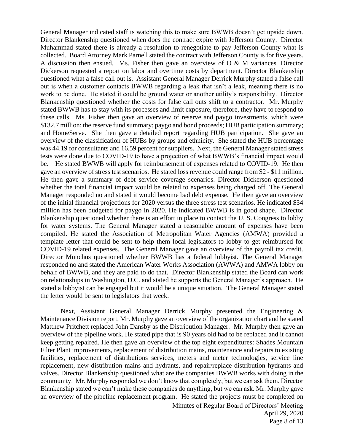General Manager indicated staff is watching this to make sure BWWB doesn't get upside down. Director Blankenship questioned when does the contract expire with Jefferson County. Director Muhammad stated there is already a resolution to renegotiate to pay Jefferson County what is collected. Board Attorney Mark Parnell stated the contract with Jefferson County is for five years. A discussion then ensued. Ms. Fisher then gave an overview of O & M variances. Director Dickerson requested a report on labor and overtime costs by department. Director Blankenship questioned what a false call out is. Assistant General Manager Derrick Murphy stated a false call out is when a customer contacts BWWB regarding a leak that isn't a leak, meaning there is no work to be done. He stated it could be ground water or another utility's responsibility. Director Blankenship questioned whether the costs for false call outs shift to a contractor. Mr. Murphy stated BWWB has to stay with its processes and limit exposure, therefore, they have to respond to these calls. Ms. Fisher then gave an overview of reserve and paygo investments, which were \$132.7 million; the reserve fund summary; paygo and bond proceeds; HUB participation summary; and HomeServe. She then gave a detailed report regarding HUB participation. She gave an overview of the classification of HUBs by groups and ethnicity. She stated the HUB percentage was 44.19 for consultants and 16.59 percent for suppliers. Next, the General Manager stated stress tests were done due to COVID-19 to have a projection of what BWWB's financial impact would be. He stated BWWB will apply for reimbursement of expenses related to COVID-19. He then gave an overview of stress test scenarios. He stated loss revenue could range from \$2 - \$11 million. He then gave a summary of debt service coverage scenarios. Director Dickerson questioned whether the total financial impact would be related to expenses being charged off. The General Manager responded no and stated it would become bad debt expense. He then gave an overview of the initial financial projections for 2020 versus the three stress test scenarios. He indicated \$34 million has been budgeted for paygo in 2020. He indicated BWWB is in good shape. Director Blankenship questioned whether there is an effort in place to contact the U. S. Congress to lobby for water systems. The General Manager stated a reasonable amount of expenses have been compiled. He stated the Association of Metropolitan Water Agencies (AMWA) provided a template letter that could be sent to help them local legislators to lobby to get reimbursed for COVID-19 related expenses. The General Manager gave an overview of the payroll tax credit. Director Munchus questioned whether BWWB has a federal lobbyist. The General Manager responded no and stated the American Water Works Association (AWWA) and AMWA lobby on behalf of BWWB, and they are paid to do that. Director Blankenship stated the Board can work on relationships in Washington, D.C. and stated he supports the General Manager's approach. He stated a lobbyist can be engaged but it would be a unique situation. The General Manager stated the letter would be sent to legislators that week.

Next, Assistant General Manager Derrick Murphy presented the Engineering & Maintenance Division report. Mr. Murphy gave an overview of the organization chart and he stated Matthew Pritchett replaced John Dansby as the Distribution Manager. Mr. Murphy then gave an overview of the pipeline work. He stated pipe that is 90 years old had to be replaced and it cannot keep getting repaired. He then gave an overview of the top eight expenditures: Shades Mountain Filter Plant improvements, replacement of distribution mains, maintenance and repairs to existing facilities, replacement of distributions services, meters and meter technologies, service line replacement, new distribution mains and hydrants, and repair/replace distribution hydrants and valves. Director Blankenship questioned what are the companies BWWB works with doing in the community. Mr. Murphy responded we don't know that completely, but we can ask them. Director Blankenship stated we can't make these companies do anything, but we can ask. Mr. Murphy gave an overview of the pipeline replacement program. He stated the projects must be completed on

Minutes of Regular Board of Directors' Meeting April 29, 2020 Page 8 of 13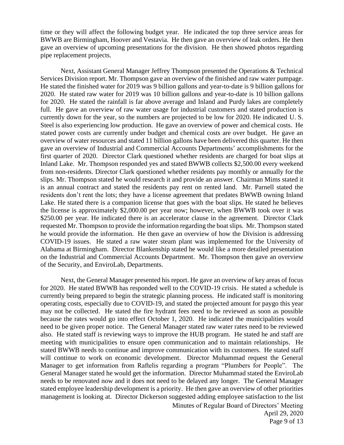time or they will affect the following budget year. He indicated the top three service areas for BWWB are Birmingham, Hoover and Vestavia. He then gave an overview of leak orders. He then gave an overview of upcoming presentations for the division. He then showed photos regarding pipe replacement projects.

Next, Assistant General Manager Jeffrey Thompson presented the Operations & Technical Services Division report. Mr. Thompson gave an overview of the finished and raw water pumpage. He stated the finished water for 2019 was 9 billion gallons and year-to-date is 9 billion gallons for 2020. He stated raw water for 2019 was 10 billion gallons and year-to-date is 10 billion gallons for 2020. He stated the rainfall is far above average and Inland and Purdy lakes are completely full. He gave an overview of raw water usage for industrial customers and stated production is currently down for the year, so the numbers are projected to be low for 2020. He indicated U. S. Steel is also experiencing low production. He gave an overview of power and chemical costs. He stated power costs are currently under budget and chemical costs are over budget. He gave an overview of water resources and stated 11 billion gallons have been delivered this quarter. He then gave an overview of Industrial and Commercial Accounts Departments' accomplishments for the first quarter of 2020. Director Clark questioned whether residents are charged for boat slips at Inland Lake. Mr. Thompson responded yes and stated BWWB collects \$2,500.00 every weekend from non-residents. Director Clark questioned whether residents pay monthly or annually for the slips. Mr. Thompson stated he would research it and provide an answer. Chairman Mims stated it is an annual contract and stated the residents pay rent on rented land. Mr. Parnell stated the residents don't rent the lots; they have a license agreement that predates BWWB owning Inland Lake. He stated there is a companion license that goes with the boat slips. He stated he believes the license is approximately \$2,000.00 per year now; however, when BWWB took over it was \$250.00 per year. He indicated there is an accelerator clause in the agreement. Director Clark requested Mr. Thompson to provide the information regarding the boat slips. Mr. Thompson stated he would provide the information. He then gave an overview of how the Division is addressing COVID-19 issues. He stated a raw water steam plant was implemented for the University of Alabama at Birmingham. Director Blankenship stated he would like a more detailed presentation on the Industrial and Commercial Accounts Department. Mr. Thompson then gave an overview of the Security, and EnviroLab, Departments.

Next, the General Manager presented his report. He gave an overview of key areas of focus for 2020. He stated BWWB has responded well to the COVID-19 crisis. He stated a schedule is currently being prepared to begin the strategic planning process. He indicated staff is monitoring operating costs, especially due to COVID-19, and stated the projected amount for paygo this year may not be collected. He stated the fire hydrant fees need to be reviewed as soon as possible because the rates would go into effect October 1, 2020. He indicated the municipalities would need to be given proper notice. The General Manager stated raw water rates need to be reviewed also. He stated staff is reviewing ways to improve the HUB program. He stated he and staff are meeting with municipalities to ensure open communication and to maintain relationships. He stated BWWB needs to continue and improve communication with its customers. He stated staff will continue to work on economic development. Director Muhammad request the General Manager to get information from Raftelis regarding a program "Plumbers for People". The General Manager stated he would get the information. Director Muhammad stated the EnviroLab needs to be renovated now and it does not need to be delayed any longer. The General Manager stated employee leadership development is a priority. He then gave an overview of other priorities management is looking at. Director Dickerson suggested adding employee satisfaction to the list

> Minutes of Regular Board of Directors' Meeting April 29, 2020 Page 9 of 13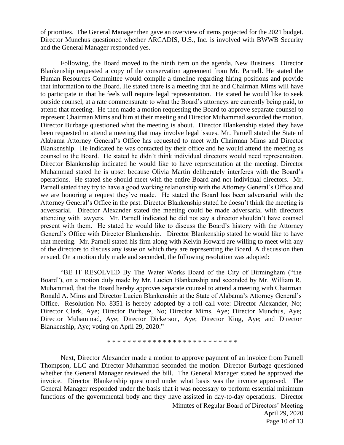of priorities. The General Manager then gave an overview of items projected for the 2021 budget. Director Munchus questioned whether ARCADIS, U.S., Inc. is involved with BWWB Security and the General Manager responded yes.

Following, the Board moved to the ninth item on the agenda, New Business. Director Blankenship requested a copy of the conservation agreement from Mr. Parnell. He stated the Human Resources Committee would compile a timeline regarding hiring positions and provide that information to the Board. He stated there is a meeting that he and Chairman Mims will have to participate in that he feels will require legal representation. He stated he would like to seek outside counsel, at a rate commensurate to what the Board's attorneys are currently being paid, to attend that meeting. He then made a motion requesting the Board to approve separate counsel to represent Chairman Mims and him at their meeting and Director Muhammad seconded the motion. Director Burbage questioned what the meeting is about. Director Blankenship stated they have been requested to attend a meeting that may involve legal issues. Mr. Parnell stated the State of Alabama Attorney General's Office has requested to meet with Chairman Mims and Director Blankenship. He indicated he was contacted by their office and he would attend the meeting as counsel to the Board. He stated he didn't think individual directors would need representation. Director Blankenship indicated he would like to have representation at the meeting. Director Muhammad stated he is upset because Olivia Martin deliberately interferes with the Board's operations. He stated she should meet with the entire Board and not individual directors. Mr. Parnell stated they try to have a good working relationship with the Attorney General's Office and we are honoring a request they've made. He stated the Board has been adversarial with the Attorney General's Office in the past. Director Blankenship stated he doesn't think the meeting is adversarial. Director Alexander stated the meeting could be made adversarial with directors attending with lawyers. Mr. Parnell indicated he did not say a director shouldn't have counsel present with them. He stated he would like to discuss the Board's history with the Attorney General's Office with Director Blankenship. Director Blankenship stated he would like to have that meeting. Mr. Parnell stated his firm along with Kelvin Howard are willing to meet with any of the directors to discuss any issue on which they are representing the Board. A discussion then ensued. On a motion duly made and seconded, the following resolution was adopted:

"BE IT RESOLVED By The Water Works Board of the City of Birmingham ("the Board"), on a motion duly made by Mr. Lucien Blankenship and seconded by Mr. William R. Muhammad, that the Board hereby approves separate counsel to attend a meeting with Chairman Ronald A. Mims and Director Lucien Blankenship at the State of Alabama's Attorney General's Office. Resolution No. 8351 is hereby adopted by a roll call vote: Director Alexander, No; Director Clark, Aye; Director Burbage, No; Director Mims, Aye; Director Munchus, Aye; Director Muhammad, Aye; Director Dickerson, Aye; Director King, Aye; and Director Blankenship, Aye; voting on April 29, 2020."

\* \* \* \* \* \* \* \* \* \* \* \* \* \* \* \* \* \* \* \* \* \* \* \* \* \*

Next, Director Alexander made a motion to approve payment of an invoice from Parnell Thompson, LLC and Director Muhammad seconded the motion. Director Burbage questioned whether the General Manager reviewed the bill. The General Manager stated he approved the invoice. Director Blankenship questioned under what basis was the invoice approved. The General Manager responded under the basis that it was necessary to perform essential minimum functions of the governmental body and they have assisted in day-to-day operations. Director

> Minutes of Regular Board of Directors' Meeting April 29, 2020 Page 10 of 13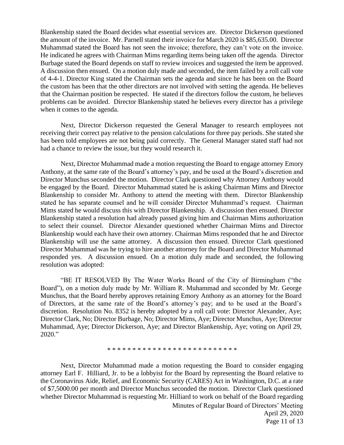Blankenship stated the Board decides what essential services are. Director Dickerson questioned the amount of the invoice. Mr. Parnell stated their invoice for March 2020 is \$85,635.00. Director Muhammad stated the Board has not seen the invoice; therefore, they can't vote on the invoice. He indicated he agrees with Chairman Mims regarding items being taken off the agenda. Director Burbage stated the Board depends on staff to review invoices and suggested the item be approved. A discussion then ensued. On a motion duly made and seconded, the item failed by a roll call vote of 4-4-1. Director King stated the Chairman sets the agenda and since he has been on the Board the custom has been that the other directors are not involved with setting the agenda. He believes that the Chairman position be respected. He stated if the directors follow the custom, he believes problems can be avoided. Director Blankenship stated he believes every director has a privilege when it comes to the agenda.

Next, Director Dickerson requested the General Manager to research employees not receiving their correct pay relative to the pension calculations for three pay periods. She stated she has been told employees are not being paid correctly. The General Manager stated staff had not had a chance to review the issue, but they would research it.

Next, Director Muhammad made a motion requesting the Board to engage attorney Emory Anthony, at the same rate of the Board's attorney's pay, and be used at the Board's discretion and Director Munchus seconded the motion. Director Clark questioned why Attorney Anthony would be engaged by the Board. Director Muhammad stated he is asking Chairman Mims and Director Blankenship to consider Mr. Anthony to attend the meeting with them. Director Blankenship stated he has separate counsel and he will consider Director Muhammad's request. Chairman Mims stated he would discuss this with Director Blankenship. A discussion then ensued. Director Blankenship stated a resolution had already passed giving him and Chairman Mims authorization to select their counsel. Director Alexander questioned whether Chairman Mims and Director Blankenship would each have their own attorney. Chairman Mims responded that he and Director Blankenship will use the same attorney. A discussion then ensued. Director Clark questioned Director Muhammad was he trying to hire another attorney for the Board and Director Muhammad responded yes. A discussion ensued. On a motion duly made and seconded, the following resolution was adopted:

"BE IT RESOLVED By The Water Works Board of the City of Birmingham ("the Board"), on a motion duly made by Mr. William R. Muhammad and seconded by Mr. George Munchus, that the Board hereby approves retaining Emory Anthony as an attorney for the Board of Directors, at the same rate of the Board's attorney's pay; and to be used at the Board's discretion. Resolution No. 8352 is hereby adopted by a roll call vote: Director Alexander, Aye; Director Clark, No; Director Burbage, No; Director Mims, Aye; Director Munchus, Aye; Director Muhammad, Aye; Director Dickerson, Aye; and Director Blankenship, Aye; voting on April 29, 2020."

\* \* \* \* \* \* \* \* \* \* \* \* \* \* \* \* \* \* \* \* \* \* \* \* \* \*

Next, Director Muhammad made a motion requesting the Board to consider engaging attorney Earl F. Hilliard, Jr. to be a lobbyist for the Board by representing the Board relative to the Coronavirus Aide, Relief, and Economic Security (CARES) Act in Washington, D.C. at a rate of \$7,5000.00 per month and Director Munchus seconded the motion. Director Clark questioned whether Director Muhammad is requesting Mr. Hilliard to work on behalf of the Board regarding

> Minutes of Regular Board of Directors' Meeting April 29, 2020 Page 11 of 13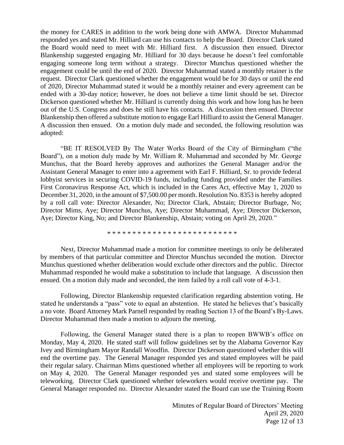the money for CARES in addition to the work being done with AMWA. Director Muhammad responded yes and stated Mr. Hilliard can use his contacts to help the Board. Director Clark stated the Board would need to meet with Mr. Hilliard first. A discussion then ensued. Director Blankenship suggested engaging Mr. Hilliard for 30 days because he doesn't feel comfortable engaging someone long term without a strategy. Director Munchus questioned whether the engagement could be until the end of 2020. Director Muhammad stated a monthly retainer is the request. Director Clark questioned whether the engagement would be for 30 days or until the end of 2020, Director Muhammad stated it would be a monthly retainer and every agreement can be ended with a 30-day notice; however, he does not believe a time limit should be set. Director Dickerson questioned whether Mr. Hilliard is currently doing this work and how long has he been out of the U.S. Congress and does he still have his contacts. A discussion then ensued. Director Blankenship then offered a substitute motion to engage Earl Hilliard to assist the General Manager. A discussion then ensued. On a motion duly made and seconded, the following resolution was adopted:

"BE IT RESOLVED By The Water Works Board of the City of Birmingham ("the Board"), on a motion duly made by Mr. William R. Muhammad and seconded by Mr. George Munchus, that the Board hereby approves and authorizes the General Manager and/or the Assistant General Manager to enter into a agreement with Earl F. Hilliard, Sr. to provide federal lobbyist services in securing COVID-19 funds, including funding provided under the Families First Coronavirus Response Act, which is included in the Cares Act, effective May 1, 2020 to December 31, 2020, in the amount of \$7,500.00 per month. Resolution No. 8353 is hereby adopted by a roll call vote: Director Alexander, No; Director Clark, Abstain; Director Burbage, No; Director Mims, Aye; Director Munchus, Aye; Director Muhammad, Aye; Director Dickerson, Aye; Director King, No; and Director Blankenship, Abstain; voting on April 29, 2020."

\* \* \* \* \* \* \* \* \* \* \* \* \* \* \* \* \* \* \* \* \* \* \* \* \* \*

Next, Director Muhammad made a motion for committee meetings to only be deliberated by members of that particular committee and Director Munchus seconded the motion. Director Munchus questioned whether deliberation would exclude other directors and the public. Director Muhammad responded he would make a substitution to include that language. A discussion then ensued. On a motion duly made and seconded, the item failed by a roll call vote of 4-3-1.

Following, Director Blankenship requested clarification regarding abstention voting. He stated he understands a "pass" vote to equal an abstention. He stated he believes that's basically a no vote. Board Attorney Mark Parnell responded by reading Section 13 of the Board's By-Laws. Director Muhammad then made a motion to adjourn the meeting.

Following, the General Manager stated there is a plan to reopen BWWB's office on Monday, May 4, 2020. He stated staff will follow guidelines set by the Alabama Governor Kay Ivey and Birmingham Mayor Randall Woodfin. Director Dickerson questioned whether this will end the overtime pay. The General Manager responded yes and stated employees will be paid their regular salary. Chairman Mims questioned whether all employees will be reporting to work on May 4, 2020. The General Manager responded yes and stated some employees will be teleworking. Director Clark questioned whether teleworkers would receive overtime pay. The General Manager responded no. Director Alexander stated the Board can use the Training Room

> Minutes of Regular Board of Directors' Meeting April 29, 2020 Page 12 of 13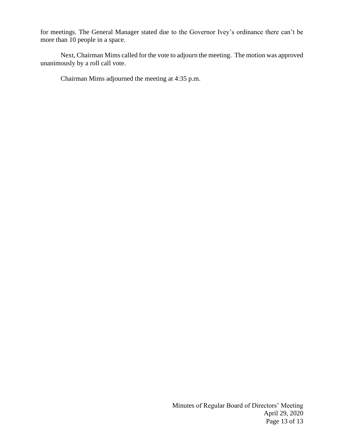for meetings. The General Manager stated due to the Governor Ivey's ordinance there can't be more than 10 people in a space.

Next, Chairman Mims called for the vote to adjourn the meeting. The motion was approved unanimously by a roll call vote.

Chairman Mims adjourned the meeting at 4:35 p.m.